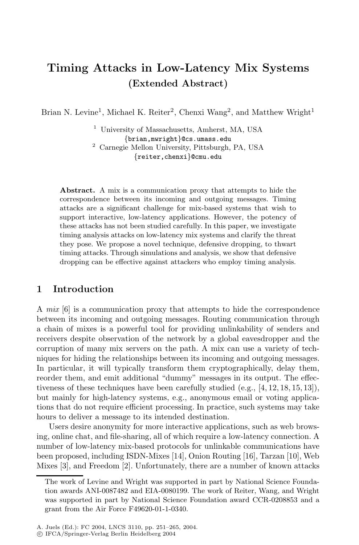# **Timing Attacks in Low-Latency Mix Systems (Extended Abstract)**

Brian N. Levine<sup>1</sup>, Michael K. Reiter<sup>2</sup>, Chenxi Wang<sup>2</sup>, and Matthew Wright<sup>1</sup>

<sup>1</sup> University of Massachusetts, Amherst, MA, USA *{*brian,mwright*}*@cs.umass.edu <sup>2</sup> Carnegie Mellon University, Pittsburgh, PA, USA *{*reiter,chenxi*}*@cmu.edu

**Abstract.** A mix is a communication proxy that attempts to hide the correspondence between its incoming and outgoing messages. Timing attacks are a significant challenge for mix-based systems that wish to support interactive, low-latency applications. However, the potency of these attacks has not been studied carefully. In this paper, we investigate timing analysis attacks on low-latency mix systems and clarify the threat they pose. We propose a novel technique, defensive dropping, to thwart timing attacks. Through simulations and analysis, we show that defensive dropping can be effective against attackers who employ timing analysis.

### **1 Introduction**

A *mix* [6] is a communication proxy that attempts to hide the correspondence between its incoming and outgoing messages. Routing communication through a chain of mixes is a powerful tool for providing unlinkability of senders and receivers despite observation of the network by a global eavesdropper and the corruption of many mix servers on the path. A mix can use a variety of techniques for hiding the relationships between its incoming and outgoing messages. In particular, it will typically transform them cryptographically, delay them, reorder them, and emit additional "dummy" messages in its output. The effectiveness of these techniques have been carefully studied (e.g.,  $[4, 12, 18, 15, 13]$ ), but mainly for high-latency systems, e.g., anonymous email or voting applications that do not require efficient processing. In practice, such systems may take hours to deliver a message to its intended destination.

Users desire anonymity for more interactive applications, such as web browsing, online chat, and file-sharing, all of which require a low-latency connection. A number of low-latency mix-based protocols for unlinkable communications have been proposed, including ISDN-Mixes [14], Onion Routing [16], Tarzan [10], Web Mixes [3], and Freedom [2]. Unfortunately, there are a number of known attacks

The work of Levine and Wright was supported in part by National Science Foundation awards ANI-0087482 and EIA-0080199. The work of Reiter, Wang, and Wright was supported in part by National Science Foundation award CCR-0208853 and a grant from the Air Force F49620-01-1-0340.

A. Juels (Ed.): FC 2004, LNCS 3110, pp. 251–265, 2004.

c IFCA/Springer-Verlag Berlin Heidelberg 2004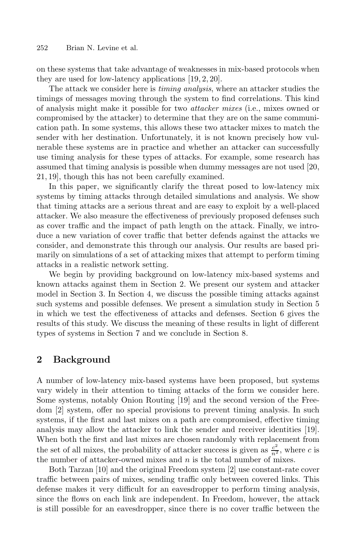on these systems that take advantage of weaknesses in mix-based protocols when they are used for low-latency applications [19, 2, 20].

The attack we consider here is *timing analysis*, where an attacker studies the timings of messages moving through the system to find correlations. This kind of analysis might make it possible for two *attacker mixes* (i.e., mixes owned or compromised by the attacker) to determine that they are on the same communication path. In some systems, this allows these two attacker mixes to match the sender with her destination. Unfortunately, it is not known precisely how vulnerable these systems are in practice and whether an attacker can successfully use timing analysis for these types of attacks. For example, some research has assumed that timing analysis is possible when dummy messages are not used [20, 21, 19], though this has not been carefully examined.

In this paper, we significantly clarify the threat posed to low-latency mix systems by timing attacks through detailed simulations and analysis. We show that timing attacks are a serious threat and are easy to exploit by a well-placed attacker. We also measure the effectiveness of previously proposed defenses such as cover traffic and the impact of path length on the attack. Finally, we introduce a new variation of cover traffic that better defends against the attacks we consider, and demonstrate this through our analysis. Our results are based primarily on simulations of a set of attacking mixes that attempt to perform timing attacks in a realistic network setting.

We begin by providing background on low-latency mix-based systems and known attacks against them in Section 2. We present our system and attacker model in Section 3. In Section 4, we discuss the possible timing attacks against such systems and possible defenses. We present a simulation study in Section 5 in which we test the effectiveness of attacks and defenses. Section 6 gives the results of this study. We discuss the meaning of these results in light of different types of systems in Section 7 and we conclude in Section 8.

### **2 Background**

A number of low-latency mix-based systems have been proposed, but systems vary widely in their attention to timing attacks of the form we consider here. Some systems, notably Onion Routing [19] and the second version of the Freedom [2] system, offer no special provisions to prevent timing analysis. In such systems, if the first and last mixes on a path are compromised, effective timing analysis may allow the attacker to link the sender and receiver identities [19]. When both the first and last mixes are chosen randomly with replacement from the set of all mixes, the probability of attacker success is given as  $\frac{c^2}{n^2}$ , where c is the number of attacker-owned mixes and  $n$  is the total number of mixes.

Both Tarzan [10] and the original Freedom system [2] use constant-rate cover traffic between pairs of mixes, sending traffic only between covered links. This defense makes it very difficult for an eavesdropper to perform timing analysis, since the flows on each link are independent. In Freedom, however, the attack is still possible for an eavesdropper, since there is no cover traffic between the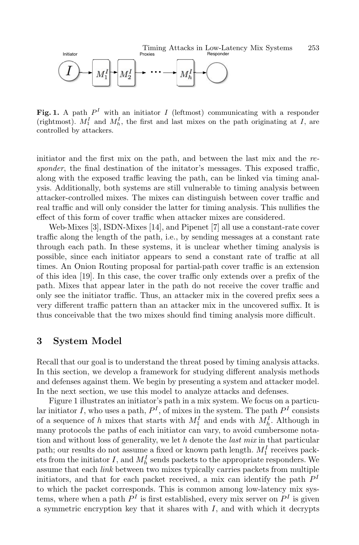

Fig. 1. A path  $P^I$  with an initiator *I* (leftmost) communicating with a responder (rightmost).  $M_1^I$  and  $M_h^I$ , the first and last mixes on the path originating at *I*, are controlled by attackers.

initiator and the first mix on the path, and between the last mix and the *responder*, the final destination of the initator's messages. This exposed traffic, along with the exposed traffic leaving the path, can be linked via timing analysis. Additionally, both systems are still vulnerable to timing analysis between attacker-controlled mixes. The mixes can distinguish between cover traffic and real traffic and will only consider the latter for timing analysis. This nullifies the effect of this form of cover traffic when attacker mixes are considered.

Web-Mixes [3], ISDN-Mixes [14], and Pipenet [7] all use a constant-rate cover traffic along the length of the path, i.e., by sending messages at a constant rate through each path. In these systems, it is unclear whether timing analysis is possible, since each initiator appears to send a constant rate of traffic at all times. An Onion Routing proposal for partial-path cover traffic is an extension of this idea [19]. In this case, the cover traffic only extends over a prefix of the path. Mixes that appear later in the path do not receive the cover traffic and only see the initiator traffic. Thus, an attacker mix in the covered prefix sees a very different traffic pattern than an attacker mix in the uncovered suffix. It is thus conceivable that the two mixes should find timing analysis more difficult.

### **3 System Model**

Recall that our goal is to understand the threat posed by timing analysis attacks. In this section, we develop a framework for studying different analysis methods and defenses against them. We begin by presenting a system and attacker model. In the next section, we use this model to analyze attacks and defenses.

Figure 1 illustrates an initiator's path in a mix system. We focus on a particular initiator I, who uses a path,  $P<sup>I</sup>$ , of mixes in the system. The path  $P<sup>I</sup>$  consists of a sequence of h mixes that starts with  $M_1^I$  and ends with  $M_h^I$ . Although in many protocols the paths of each initiator can vary, to avoid cumbersome notation and without loss of generality, we let h denote the *last mix* in that particular path; our results do not assume a fixed or known path length.  $M_1^I$  receives packets from the initiator I, and  $M_h^I$  sends packets to the appropriate responders. We assume that each *link* between two mixes typically carries packets from multiple initiators, and that for each packet received, a mix can identify the path P*<sup>I</sup>* to which the packet corresponds. This is common among low-latency mix systems, where when a path  $P<sup>I</sup>$  is first established, every mix server on  $P<sup>I</sup>$  is given a symmetric encryption key that it shares with  $I$ , and with which it decrypts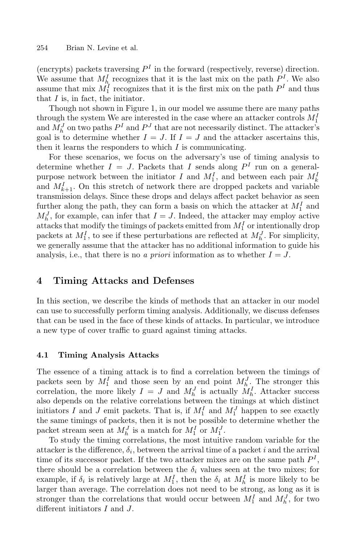(encrypts) packets traversing  $P<sup>I</sup>$  in the forward (respectively, reverse) direction. We assume that  $M_h^I$  recognizes that it is the last mix on the path  $P^I$ . We also assume that mix  $M_1^T$  recognizes that it is the first mix on the path  $P^I$  and thus that  $I$  is, in fact, the initiator.

Though not shown in Figure 1, in our model we assume there are many paths through the system We are interested in the case where an attacker controls  $M_1^I$  and  $M_h^J$  on two paths  $P^I$  and  $P^J$  that are not necessarily distinct. The attacker's goal is to determine whether  $I = J$ . If  $I = J$  and the attacker ascertains this, then it learns the responders to which  $I$  is communicating.

For these scenarios, we focus on the adversary's use of timing analysis to determine whether  $I = J$ . Packets that I sends along  $P<sup>I</sup>$  run on a generalpurpose network between the initiator I and  $M_1^I$ , and between each pair  $M_k^I$ and  $M_{k+1}^I$ . On this stretch of network there are dropped packets and variable transmission delays. Since these drops and delays affect packet behavior as seen further along the path, they can form a basis on which the attacker at  $M_1^I$  and  $M_h^J$ , for example, can infer that  $I = J$ . Indeed, the attacker may employ active attacks that modify the timings of packets emitted from  $M_1^I$  or intentionally drop packets at  $M_1^I$ , to see if these perturbations are reflected at  $M_h^J$ . For simplicity, we generally assume that the attacker has no additional information to guide his analysis, i.e., that there is no *a priori* information as to whether  $I = J$ .

### **4 Timing Attacks and Defenses**

In this section, we describe the kinds of methods that an attacker in our model can use to successfully perform timing analysis. Additionally, we discuss defenses that can be used in the face of these kinds of attacks. In particular, we introduce a new type of cover traffic to guard against timing attacks.

#### **4.1 Timing Analysis Attacks**

The essence of a timing attack is to find a correlation between the timings of packets seen by  $M_1^I$  and those seen by an end point  $M_h^J$ . The stronger this correlation, the more likely  $I = J$  and  $M_h^J$  is actually  $M_h^I$ . Attacker success also depends on the relative correlations between the timings at which distinct initiators I and J emit packets. That is, if  $M_1^I$  and  $M_1^J$  happen to see exactly the same timings of packets, then it is not be possible to determine whether the packet stream seen at  $M_h^J$  is a match for  $M_1^I$  or  $M_1^J$ .

To study the timing correlations, the most intuitive random variable for the attacker is the difference,  $\delta_i$ , between the arrival time of a packet i and the arrival time of its successor packet. If the two attacker mixes are on the same path  $P<sup>I</sup>$ , there should be a correlation between the  $\delta_i$  values seen at the two mixes; for example, if  $\delta_i$  is relatively large at  $M_1^I$ , then the  $\delta_i$  at  $M_h^I$  is more likely to be larger than average. The correlation does not need to be strong, as long as it is stronger than the correlations that would occur between  $M_1^I$  and  $M_h^J$ , for two different initiators I and J.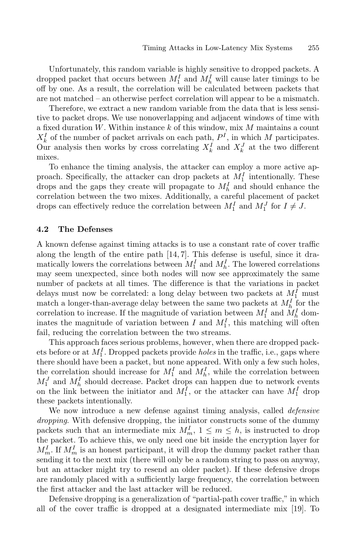Unfortunately, this random variable is highly sensitive to dropped packets. A dropped packet that occurs between  $M_1^I$  and  $M_h^I$  will cause later timings to be off by one. As a result, the correlation will be calculated between packets that are not matched – an otherwise perfect correlation will appear to be a mismatch.

Therefore, we extract a new random variable from the data that is less sensitive to packet drops. We use nonoverlapping and adjacent windows of time with a fixed duration  $W$ . Within instance  $k$  of this window, mix  $M$  maintains a count  $X_k^I$  of the number of packet arrivals on each path,  $P^I$ , in which M participates. Our analysis then works by cross correlating  $X_k^I$  and  $X_k^J$  at the two different mixes.

To enhance the timing analysis, the attacker can employ a more active approach. Specifically, the attacker can drop packets at  $M_1^I$  intentionally. These drops and the gaps they create will propagate to M*<sup>I</sup> <sup>h</sup>* and should enhance the correlation between the two mixes. Additionally, a careful placement of packet drops can effectively reduce the correlation between  $M_1^I$  and  $M_1^J$  for  $I \neq J$ .

#### **4.2 The Defenses**

A known defense against timing attacks is to use a constant rate of cover traffic along the length of the entire path [14, 7]. This defense is useful, since it dramatically lowers the correlations between  $M_1^I$  and  $M_h^I$ . The lowered correlations may seem unexpected, since both nodes will now see approximately the same number of packets at all times. The difference is that the variations in packet delays must now be correlated: a long delay between two packets at  $M_1^{\hat{I}}$  must match a longer-than-average delay between the same two packets at  $M_h^I$  for the correlation to increase. If the magnitude of variation between  $M_1^I$  and  $M_h^I$  dominates the magnitude of variation between I and  $M_1^I$ , this matching will often fail, reducing the correlation between the two streams.

This approach faces serious problems, however, when there are dropped packets before or at  $M_1^I$ . Dropped packets provide *holes* in the traffic, i.e., gaps where there should have been a packet, but none appeared. With only a few such holes, the correlation should increase for  $M_1^I$  and  $M_h^I$ , while the correlation between  $M_1^J$  and  $M_h^I$  should decrease. Packet drops can happen due to network events on the link between the initiator and  $M_1^{\tilde{I}}$ , or the attacker can have  $M_1^{\tilde{I}}$  drop these packets intentionally.

We now introduce a new defense against timing analysis, called *defensive dropping*. With defensive dropping, the initiator constructs some of the dummy packets such that an intermediate mix  $M_m^I$ ,  $1 \leq m \leq h$ , is instructed to drop the packet. To achieve this, we only need one bit inside the encryption layer for  $M_m^I$ . If  $M_m^I$  is an honest participant, it will drop the dummy packet rather than sending it to the next mix (there will only be a random string to pass on anyway, but an attacker might try to resend an older packet). If these defensive drops are randomly placed with a sufficiently large frequency, the correlation between the first attacker and the last attacker will be reduced.

Defensive dropping is a generalization of "partial-path cover traffic," in which all of the cover traffic is dropped at a designated intermediate mix [19]. To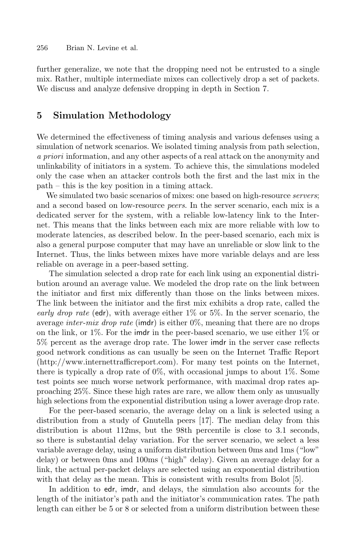further generalize, we note that the dropping need not be entrusted to a single mix. Rather, multiple intermediate mixes can collectively drop a set of packets. We discuss and analyze defensive dropping in depth in Section 7.

### **5 Simulation Methodology**

We determined the effectiveness of timing analysis and various defenses using a simulation of network scenarios. We isolated timing analysis from path selection, *a priori* information, and any other aspects of a real attack on the anonymity and unlinkability of initiators in a system. To achieve this, the simulations modeled only the case when an attacker controls both the first and the last mix in the path – this is the key position in a timing attack.

We simulated two basic scenarios of mixes: one based on high-resource *servers*; and a second based on low-resource *peers*. In the server scenario, each mix is a dedicated server for the system, with a reliable low-latency link to the Internet. This means that the links between each mix are more reliable with low to moderate latencies, as described below. In the peer-based scenario, each mix is also a general purpose computer that may have an unreliable or slow link to the Internet. Thus, the links between mixes have more variable delays and are less reliable on average in a peer-based setting.

The simulation selected a drop rate for each link using an exponential distribution around an average value. We modeled the drop rate on the link between the initiator and first mix differently than those on the links between mixes. The link between the initiator and the first mix exhibits a drop rate, called the *early drop rate* (edr), with average either 1% or 5%. In the server scenario, the average *inter-mix drop rate* (imdr) is either 0%, meaning that there are no drops on the link, or 1%. For the imdr in the peer-based scenario, we use either 1% or 5% percent as the average drop rate. The lower imdr in the server case reflects good network conditions as can usually be seen on the Internet Traffic Report (http://www.internettrafficreport.com). For many test points on the Internet, there is typically a drop rate of 0%, with occasional jumps to about 1%. Some test points see much worse network performance, with maximal drop rates approaching 25%. Since these high rates are rare, we allow them only as unusually high selections from the exponential distribution using a lower average drop rate.

For the peer-based scenario, the average delay on a link is selected using a distribution from a study of Gnutella peers [17]. The median delay from this distribution is about 112ms, but the 98th percentile is close to 3.1 seconds, so there is substantial delay variation. For the server scenario, we select a less variable average delay, using a uniform distribution between 0ms and 1ms ("low" delay) or between 0ms and 100ms ("high" delay). Given an average delay for a link, the actual per-packet delays are selected using an exponential distribution with that delay as the mean. This is consistent with results from Bolot [5].

In addition to edr, imdr, and delays, the simulation also accounts for the length of the initiator's path and the initiator's communication rates. The path length can either be 5 or 8 or selected from a uniform distribution between these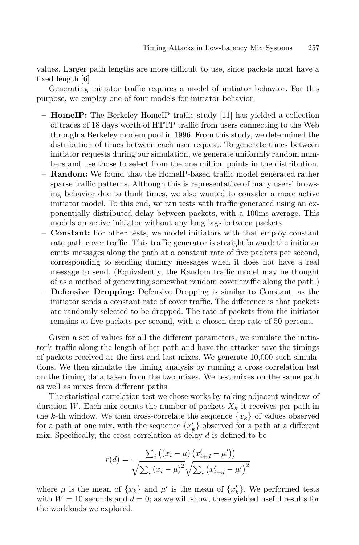values. Larger path lengths are more difficult to use, since packets must have a fixed length [6].

Generating initiator traffic requires a model of initiator behavior. For this purpose, we employ one of four models for initiator behavior:

- **HomeIP:** The Berkeley HomeIP traffic study [11] has yielded a collection of traces of 18 days worth of HTTP traffic from users connecting to the Web through a Berkeley modem pool in 1996. From this study, we determined the distribution of times between each user request. To generate times between initiator requests during our simulation, we generate uniformly random numbers and use those to select from the one million points in the distribution.
- **Random:** We found that the HomeIP-based traffic model generated rather sparse traffic patterns. Although this is representative of many users' browsing behavior due to think times, we also wanted to consider a more active initiator model. To this end, we ran tests with traffic generated using an exponentially distributed delay between packets, with a 100ms average. This models an active initiator without any long lags between packets.
- **Constant:** For other tests, we model initiators with that employ constant rate path cover traffic. This traffic generator is straightforward: the initiator emits messages along the path at a constant rate of five packets per second, corresponding to sending dummy messages when it does not have a real message to send. (Equivalently, the Random traffic model may be thought of as a method of generating somewhat random cover traffic along the path.)
- **Defensive Dropping:** Defensive Dropping is similar to Constant, as the initiator sends a constant rate of cover traffic. The difference is that packets are randomly selected to be dropped. The rate of packets from the initiator remains at five packets per second, with a chosen drop rate of 50 percent.

Given a set of values for all the different parameters, we simulate the initiator's traffic along the length of her path and have the attacker save the timings of packets received at the first and last mixes. We generate 10,000 such simulations. We then simulate the timing analysis by running a cross correlation test on the timing data taken from the two mixes. We test mixes on the same path as well as mixes from different paths.

The statistical correlation test we chose works by taking adjacent windows of duration W. Each mix counts the number of packets  $X_k$  it receives per path in the k-th window. We then cross-correlate the sequence  $\{x_k\}$  of values observed for a path at one mix, with the sequence  $\{x'_{k}\}$  observed for a path at a different mix. Specifically, the cross correlation at delay d is defined to be

$$
r(d) = \frac{\sum_{i} ((x_i - \mu) (x'_{i+d} - \mu'))}{\sqrt{\sum_{i} (x_i - \mu)^2} \sqrt{\sum_{i} (x'_{i+d} - \mu')^2}}
$$

where  $\mu$  is the mean of  $\{x_k\}$  and  $\mu'$  is the mean of  $\{x'_k\}$ . We performed tests with  $W = 10$  seconds and  $d = 0$ ; as we will show, these yielded useful results for the workloads we explored.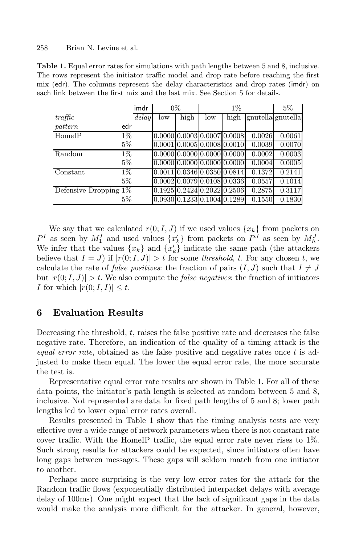**Table 1.** Equal error rates for simulations with path lengths between 5 and 8, inclusive. The rows represent the initiator traffic model and drop rate before reaching the first mix (edr). The columns represent the delay characteristics and drop rates (imdr) on each link between the first mix and the last mix. See Section 5 for details.

|                        |       | imdr               | $0\%$ |      | $1\%$                               |      |                   | $5\%$  |
|------------------------|-------|--------------------|-------|------|-------------------------------------|------|-------------------|--------|
| $tra$ ffic             |       | $\overline{delay}$ | low   | high | low                                 | high | gnutella gnutella |        |
| pattern                | edr   |                    |       |      |                                     |      |                   |        |
| HomeIP                 | $1\%$ |                    |       |      | [0.0000] 0.0003] 0.0007] 0.0008     |      | 0.0026            | 0.0061 |
|                        | $5\%$ |                    |       |      | $0.0001$ $0.0005$ $0.0008$ $0.0010$ |      | 0.0039            | 0.0070 |
| Random                 | $1\%$ |                    |       |      | 0.000010.000010.000010.0000         |      | 0.0002            | 0.0003 |
|                        | $5\%$ |                    |       |      | 0.000010.000010.000010.0000         |      | 0.0004            | 0.0005 |
| Constant               | $1\%$ |                    |       |      | $0.0011$ $0.0346$ $0.0350$ $0.0814$ |      | 0.1372            | 0.2141 |
|                        | $5\%$ |                    |       |      | 0.0002 0.0079 0.0108 0.0336         |      | 0.0557            | 0.1014 |
| Defensive Dropping 1\% |       |                    |       |      | 0.192510.242410.202210.2506         |      | 0.2875            | 0.3117 |
|                        | 5%    |                    |       |      | 0.0930 0.1233 0.1004 0.1289         |      | 0.1550            | 0.1830 |

We say that we calculated  $r(0; I, J)$  if we used values  $\{x_k\}$  from packets on  $P^I$  as seen by  $M_1^I$  and used values  $\{x'_k\}$  from packets on  $P^J$  as seen by  $M_h^J$ . We infer that the values  $\{x_k\}$  and  $\{x'_k\}$  indicate the same path (the attackers believe that  $I = J$ ) if  $|r(0; I, J)| > t$  for some *threshold*, t. For any chosen t, we calculate the rate of *false positives*: the fraction of pairs  $(I, J)$  such that  $I \neq J$ but  $|r(0; I, J)| > t$ . We also compute the *false negatives*: the fraction of initiators I for which  $|r(0; I, I)| \leq t$ .

## **6 Evaluation Results**

Decreasing the threshold, t, raises the false positive rate and decreases the false negative rate. Therefore, an indication of the quality of a timing attack is the *equal error rate*, obtained as the false positive and negative rates once t is adjusted to make them equal. The lower the equal error rate, the more accurate the test is.

Representative equal error rate results are shown in Table 1. For all of these data points, the initiator's path length is selected at random between 5 and 8, inclusive. Not represented are data for fixed path lengths of 5 and 8; lower path lengths led to lower equal error rates overall.

Results presented in Table 1 show that the timing analysis tests are very effective over a wide range of network parameters when there is not constant rate cover traffic. With the HomeIP traffic, the equal error rate never rises to 1%. Such strong results for attackers could be expected, since initiators often have long gaps between messages. These gaps will seldom match from one initiator to another.

Perhaps more surprising is the very low error rates for the attack for the Random traffic flows (exponentially distributed interpacket delays with average delay of 100ms). One might expect that the lack of significant gaps in the data would make the analysis more difficult for the attacker. In general, however,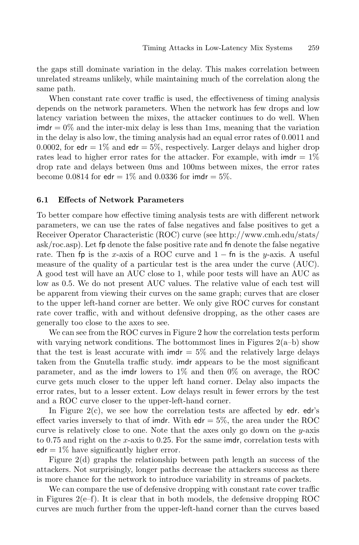the gaps still dominate variation in the delay. This makes correlation between unrelated streams unlikely, while maintaining much of the correlation along the same path.

When constant rate cover traffic is used, the effectiveness of timing analysis depends on the network parameters. When the network has few drops and low latency variation between the mixes, the attacker continues to do well. When  $\mathbf{imdr} = 0\%$  and the inter-mix delay is less than 1ms, meaning that the variation in the delay is also low, the timing analysis had an equal error rates of 0.0011 and 0.0002, for  $edr = 1\%$  and  $edr = 5\%$ , respectively. Larger delays and higher drop rates lead to higher error rates for the attacker. For example, with  $imdr = 1\%$ drop rate and delays between 0ms and 100ms between mixes, the error rates become 0.0814 for  $edr = 1\%$  and 0.0336 for imdr = 5%.

#### **6.1 Effects of Network Parameters**

To better compare how effective timing analysis tests are with different network parameters, we can use the rates of false negatives and false positives to get a Receiver Operator Characteristic (ROC) curve (see http://www.cmh.edu/stats/ ask/roc.asp). Let fp denote the false positive rate and fn denote the false negative rate. Then fp is the x-axis of a ROC curve and  $1 -$  fn is the y-axis. A useful measure of the quality of a particular test is the area under the curve (AUC). A good test will have an AUC close to 1, while poor tests will have an AUC as low as 0.5. We do not present AUC values. The relative value of each test will be apparent from viewing their curves on the same graph; curves that are closer to the upper left-hand corner are better. We only give ROC curves for constant rate cover traffic, with and without defensive dropping, as the other cases are generally too close to the axes to see.

We can see from the ROC curves in Figure 2 how the correlation tests perform with varying network conditions. The bottommost lines in Figures  $2(a-b)$  show that the test is least accurate with  $imdr = 5\%$  and the relatively large delays taken from the Gnutella traffic study. imdr appears to be the most significant parameter, and as the imdr lowers to 1% and then 0% on average, the ROC curve gets much closer to the upper left hand corner. Delay also impacts the error rates, but to a lesser extent. Low delays result in fewer errors by the test and a ROC curve closer to the upper-left-hand corner.

In Figure  $2(c)$ , we see how the correlation tests are affected by edr. edr's effect varies inversely to that of imdr. With  $edr = 5\%$ , the area under the ROC curve is relatively close to one. Note that the axes only go down on the y-axis to 0.75 and right on the x-axis to 0.25. For the same imdr, correlation tests with  $edr = 1\%$  have significantly higher error.

Figure  $2(d)$  graphs the relationship between path length an success of the attackers. Not surprisingly, longer paths decrease the attackers success as there is more chance for the network to introduce variability in streams of packets.

We can compare the use of defensive dropping with constant rate cover traffic in Figures  $2(e-f)$ . It is clear that in both models, the defensive dropping ROC curves are much further from the upper-left-hand corner than the curves based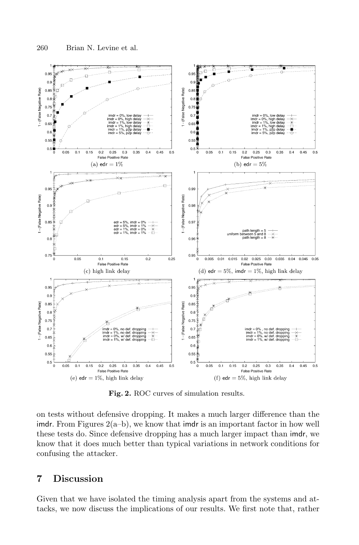

**Fig. 2.** ROC curves of simulation results.

on tests without defensive dropping. It makes a much larger difference than the imdr. From Figures  $2(a-b)$ , we know that imdr is an important factor in how well these tests do. Since defensive dropping has a much larger impact than imdr, we know that it does much better than typical variations in network conditions for confusing the attacker.

# **7 Discussion**

Given that we have isolated the timing analysis apart from the systems and attacks, we now discuss the implications of our results. We first note that, rather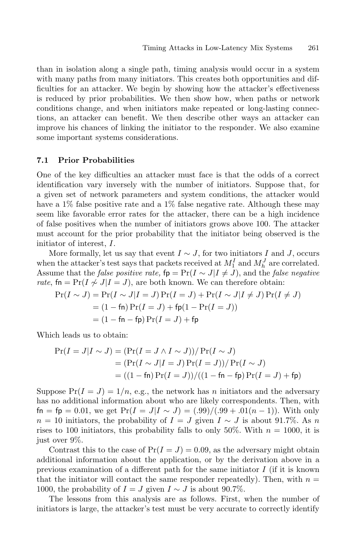than in isolation along a single path, timing analysis would occur in a system with many paths from many initiators. This creates both opportunities and difficulties for an attacker. We begin by showing how the attacker's effectiveness is reduced by prior probabilities. We then show how, when paths or network conditions change, and when initiators make repeated or long-lasting connections, an attacker can benefit. We then describe other ways an attacker can improve his chances of linking the initiator to the responder. We also examine some important systems considerations.

#### **7.1 Prior Probabilities**

One of the key difficulties an attacker must face is that the odds of a correct identification vary inversely with the number of initiators. Suppose that, for a given set of network parameters and system conditions, the attacker would have a 1% false positive rate and a 1% false negative rate. Although these may seem like favorable error rates for the attacker, there can be a high incidence of false positives when the number of initiators grows above 100. The attacker must account for the prior probability that the initiator being observed is the initiator of interest, I.

More formally, let us say that event  $I \sim J$ , for two initiators I and J, occurs when the attacker's test says that packets received at  $M_1^I$  and  $M_h^J$  are correlated. Assume that the *false positive rate*,  $fp = Pr(I \sim J | I \neq J)$ , and the *false negative rate*,  $fn = Pr(I \nsim J | I = J)$ , are both known. We can therefore obtain:

$$
Pr(I \sim J) = Pr(I \sim J | I = J) Pr(I = J) + Pr(I \sim J | I \neq J) Pr(I \neq J)
$$
  
= (1 - fn) Pr(I = J) + fp(1 - Pr(I = J))  
= (1 - fn - fp) Pr(I = J) + fp

Which leads us to obtain:

$$
Pr(I = J | I \sim J) = (Pr(I = J \wedge I \sim J)) / Pr(I \sim J)
$$
  
= 
$$
(Pr(I \sim J | I = J) Pr(I = J)) / Pr(I \sim J)
$$
  
= 
$$
((1 - fn) Pr(I = J)) / ((1 - fn - fp) Pr(I = J) + fp)
$$

Suppose  $Pr(I = J) = 1/n$ , e.g., the network has n initiators and the adversary has no additional information about who are likely correspondents. Then, with  $fn = fp = 0.01$ , we get  $Pr(I = J | I \sim J) = (0.99) / (0.99 + 0.01(n - 1))$ . With only  $n = 10$  initiators, the probability of  $I = J$  given  $I \sim J$  is about 91.7%. As n rises to 100 initiators, this probability falls to only 50%. With  $n = 1000$ , it is just over 9%.

Contrast this to the case of  $Pr(I = J) = 0.09$ , as the adversary might obtain additional information about the application, or by the derivation above in a previous examination of a different path for the same initiator  $I$  (if it is known that the initiator will contact the same responder repeatedly). Then, with  $n =$ 1000, the probability of  $I = J$  given  $I \sim J$  is about 90.7%.

The lessons from this analysis are as follows. First, when the number of initiators is large, the attacker's test must be very accurate to correctly identify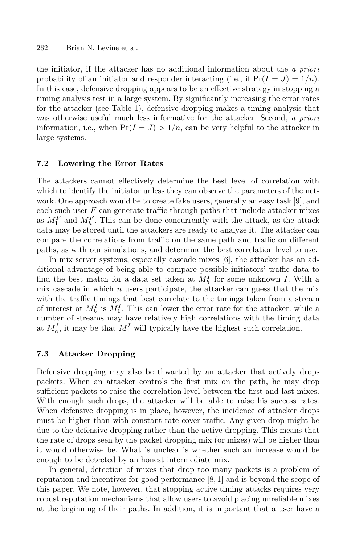the initiator, if the attacker has no additional information about the *a priori* probability of an initiator and responder interacting (i.e., if  $Pr(I = J) = 1/n$ ). In this case, defensive dropping appears to be an effective strategy in stopping a timing analysis test in a large system. By significantly increasing the error rates for the attacker (see Table 1), defensive dropping makes a timing analysis that was otherwise useful much less informative for the attacker. Second, *a priori* information, i.e., when  $Pr(I = J) > 1/n$ , can be very helpful to the attacker in large systems.

### **7.2 Lowering the Error Rates**

The attackers cannot effectively determine the best level of correlation with which to identify the initiator unless they can observe the parameters of the network. One approach would be to create fake users, generally an easy task [9], and each such user  $F$  can generate traffic through paths that include attacker mixes as  $M_1^F$  and  $M_h^F$ . This can be done concurrently with the attack, as the attack data may be stored until the attackers are ready to analyze it. The attacker can compare the correlations from traffic on the same path and traffic on different paths, as with our simulations, and determine the best correlation level to use.

In mix server systems, especially cascade mixes [6], the attacker has an additional advantage of being able to compare possible initiators' traffic data to find the best match for a data set taken at  $M_h^I$  for some unknown I. With a mix cascade in which  $n$  users participate, the attacker can guess that the mix with the traffic timings that best correlate to the timings taken from a stream of interest at  $M_h^I$  is  $M_1^I$ . This can lower the error rate for the attacker: while a number of streams may have relatively high correlations with the timing data at  $M_h^I$ , it may be that  $M_1^I$  will typically have the highest such correlation.

#### **7.3 Attacker Dropping**

Defensive dropping may also be thwarted by an attacker that actively drops packets. When an attacker controls the first mix on the path, he may drop sufficient packets to raise the correlation level between the first and last mixes. With enough such drops, the attacker will be able to raise his success rates. When defensive dropping is in place, however, the incidence of attacker drops must be higher than with constant rate cover traffic. Any given drop might be due to the defensive dropping rather than the active dropping. This means that the rate of drops seen by the packet dropping mix (or mixes) will be higher than it would otherwise be. What is unclear is whether such an increase would be enough to be detected by an honest intermediate mix.

In general, detection of mixes that drop too many packets is a problem of reputation and incentives for good performance [8, 1] and is beyond the scope of this paper. We note, however, that stopping active timing attacks requires very robust reputation mechanisms that allow users to avoid placing unreliable mixes at the beginning of their paths. In addition, it is important that a user have a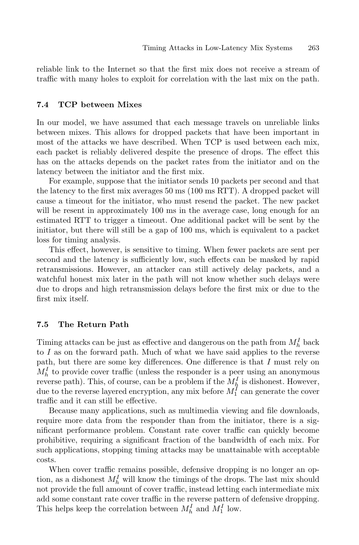reliable link to the Internet so that the first mix does not receive a stream of traffic with many holes to exploit for correlation with the last mix on the path.

#### **7.4 TCP between Mixes**

In our model, we have assumed that each message travels on unreliable links between mixes. This allows for dropped packets that have been important in most of the attacks we have described. When TCP is used between each mix, each packet is reliably delivered despite the presence of drops. The effect this has on the attacks depends on the packet rates from the initiator and on the latency between the initiator and the first mix.

For example, suppose that the initiator sends 10 packets per second and that the latency to the first mix averages 50 ms (100 ms RTT). A dropped packet will cause a timeout for the initiator, who must resend the packet. The new packet will be resent in approximately 100 ms in the average case, long enough for an estimated RTT to trigger a timeout. One additional packet will be sent by the initiator, but there will still be a gap of 100 ms, which is equivalent to a packet loss for timing analysis.

This effect, however, is sensitive to timing. When fewer packets are sent per second and the latency is sufficiently low, such effects can be masked by rapid retransmissions. However, an attacker can still actively delay packets, and a watchful honest mix later in the path will not know whether such delays were due to drops and high retransmission delays before the first mix or due to the first mix itself.

#### **7.5 The Return Path**

Timing attacks can be just as effective and dangerous on the path from  $M_h^I$  back to I as on the forward path. Much of what we have said applies to the reverse path, but there are some key differences. One difference is that I must rely on  $M_h^I$  to provide cover traffic (unless the responder is a peer using an anonymous reverse path). This, of course, can be a problem if the  $M_h^I$  is dishonest. However, due to the reverse layered encryption, any mix before  $M_1^T$  can generate the cover traffic and it can still be effective.

Because many applications, such as multimedia viewing and file downloads, require more data from the responder than from the initiator, there is a significant performance problem. Constant rate cover traffic can quickly become prohibitive, requiring a significant fraction of the bandwidth of each mix. For such applications, stopping timing attacks may be unattainable with acceptable costs.

When cover traffic remains possible, defensive dropping is no longer an option, as a dishonest  $M_h^I$  will know the timings of the drops. The last mix should not provide the full amount of cover traffic, instead letting each intermediate mix add some constant rate cover traffic in the reverse pattern of defensive dropping. This helps keep the correlation between  $M_h^I$  and  $M_1^I$  low.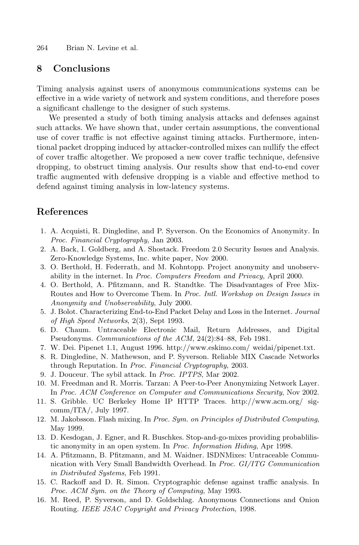264 Brian N. Levine et al.

# **8 Conclusions**

Timing analysis against users of anonymous communications systems can be effective in a wide variety of network and system conditions, and therefore poses a significant challenge to the designer of such systems.

We presented a study of both timing analysis attacks and defenses against such attacks. We have shown that, under certain assumptions, the conventional use of cover traffic is not effective against timing attacks. Furthermore, intentional packet dropping induced by attacker-controlled mixes can nullify the effect of cover traffic altogether. We proposed a new cover traffic technique, defensive dropping, to obstruct timing analysis. Our results show that end-to-end cover traffic augmented with defensive dropping is a viable and effective method to defend against timing analysis in low-latency systems.

### **References**

- 1. A. Acquisti, R. Dingledine, and P. Syverson. On the Economics of Anonymity. In Proc. Financial Cryptography, Jan 2003.
- 2. A. Back, I. Goldberg, and A. Shostack. Freedom 2.0 Security Issues and Analysis. Zero-Knowledge Systems, Inc. white paper, Nov 2000.
- 3. O. Berthold, H. Federrath, and M. Kohntopp. Project anonymity and unobservability in the internet. In Proc. Computers Freedom and Privacy, April 2000.
- 4. O. Berthold, A. Pfitzmann, and R. Standtke. The Disadvantages of Free Mix-Routes and How to Overcome Them. In Proc. Intl. Workshop on Design Issues in Anonymity and Unobservability, July 2000.
- 5. J. Bolot. Characterizing End-to-End Packet Delay and Loss in the Internet. Journal of High Speed Networks, 2(3), Sept 1993.
- 6. D. Chaum. Untraceable Electronic Mail, Return Addresses, and Digital Pseudonyms. Communications of the ACM, 24(2):84–88, Feb 1981.
- 7. W. Dei. Pipenet 1.1, August 1996. http://www.eskimo.com/ weidai/pipenet.txt.
- 8. R. Dingledine, N. Mathewson, and P. Syverson. Reliable MIX Cascade Networks through Reputation. In Proc. Financial Cryptography, 2003.
- 9. J. Douceur. The sybil attack. In Proc. IPTPS, Mar 2002.
- 10. M. Freedman and R. Morris. Tarzan: A Peer-to-Peer Anonymizing Network Layer. In Proc. ACM Conference on Computer and Communications Security, Nov 2002.
- 11. S. Gribble. UC Berkeley Home IP HTTP Traces. http://www.acm.org/ sigcomm/ITA/, July 1997.
- 12. M. Jakobsson. Flash mixing. In Proc. Sym. on Principles of Distributed Computing, May 1999.
- 13. D. Kesdogan, J. Egner, and R. Buschkes. Stop-and-go-mixes providing probablilistic anonymity in an open system. In Proc. Information Hiding, Apr 1998.
- 14. A. Pfitzmann, B. Pfitzmann, and M. Waidner. ISDNMixes: Untraceable Communication with Very Small Bandwidth Overhead. In Proc. GI/ITG Communication in Distributed Systems, Feb 1991.
- 15. C. Rackoff and D. R. Simon. Cryptographic defense against traffic analysis. In Proc. ACM Sym. on the Theory of Computing, May 1993.
- 16. M. Reed, P. Syverson, and D. Goldschlag. Anonymous Connections and Onion Routing. IEEE JSAC Copyright and Privacy Protection, 1998.